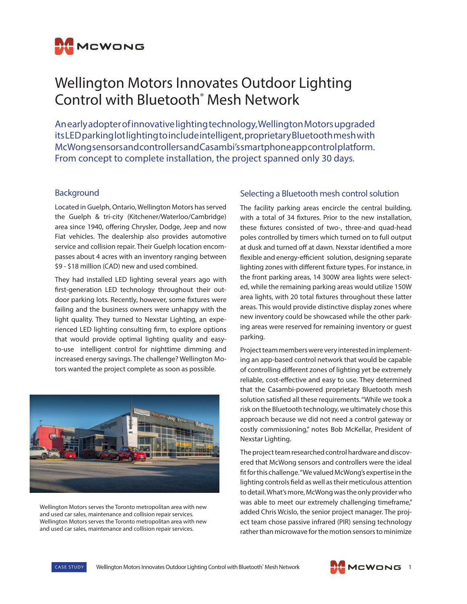

# Wellington Motors Innovates Outdoor Lighting Control with Bluetooth® Mesh Network

An early adopter of innovative lighting technology, Wellington Motors upgraded its LED parking lot lighting to include intelligent, proprietary Bluetooth mesh with McWong sensors and controllers and Casambi's smartphone app control platform. From concept to complete installation, the project spanned only 30 days.

#### **Background**

Located in Guelph, Ontario, Wellington Motors has served the Guelph & tri-city (Kitchener/Waterloo/Cambridge) area since 1940, offering Chrysler, Dodge, Jeep and now Fiat vehicles. The dealership also provides automotive service and collision repair. Their Guelph location encompasses about 4 acres with an inventory ranging between \$9 - \$18 million (CAD) new and used combined.

They had installed LED lighting several years ago with first-generation LED technology throughout their outdoor parking lots. Recently, however, some fixtures were failing and the business owners were unhappy with the light quality. They turned to Nexstar Lighting, an experienced LED lighting consulting firm, to explore options that would provide optimal lighting quality and easyto-use intelligent control for nighttime dimming and increased energy savings. The challenge? Wellington Motors wanted the project complete as soon as possible.



Wellington Motors serves the Toronto metropolitan area with new and used car sales, maintenance and collision repair services. Wellington Motors serves the Toronto metropolitan area with new and used car sales, maintenance and collision repair services.

## Selecting a Bluetooth mesh control solution

The facility parking areas encircle the central building, with a total of 34 fixtures. Prior to the new installation, these fixtures consisted of two-, three-and quad-head poles controlled by timers which turned on to full output at dusk and turned off at dawn. Nexstar identified a more flexible and energy-efficient solution, designing separate lighting zones with different fixture types. For instance, in the front parking areas, 14 300W area lights were selected, while the remaining parking areas would utilize 150W area lights, with 20 total fixtures throughout these latter areas. This would provide distinctive display zones where new inventory could be showcased while the other parking areas were reserved for remaining inventory or guest parking.

Project team members were very interested in implementing an app-based control network that would be capable of controlling different zones of lighting yet be extremely reliable, cost-effective and easy to use. They determined that the Casambi-powered proprietary Bluetooth mesh solution satisfied all these requirements. "While we took a risk on the Bluetooth technology, we ultimately chose this approach because we did not need a control gateway or costly commissioning," notes Bob McKellar, President of Nexstar Lighting.

The project team researched control hardware and discovered that McWong sensors and controllers were the ideal fit for this challenge. "We valued McWong's expertise in the lighting controls field as well as their meticulous attention to detail. What's more, McWong was the only provider who was able to meet our extremely challenging timeframe," added Chris Wcislo, the senior project manager. The project team chose passive infrared (PIR) sensing technology rather than microwave for the motion sensors to minimize